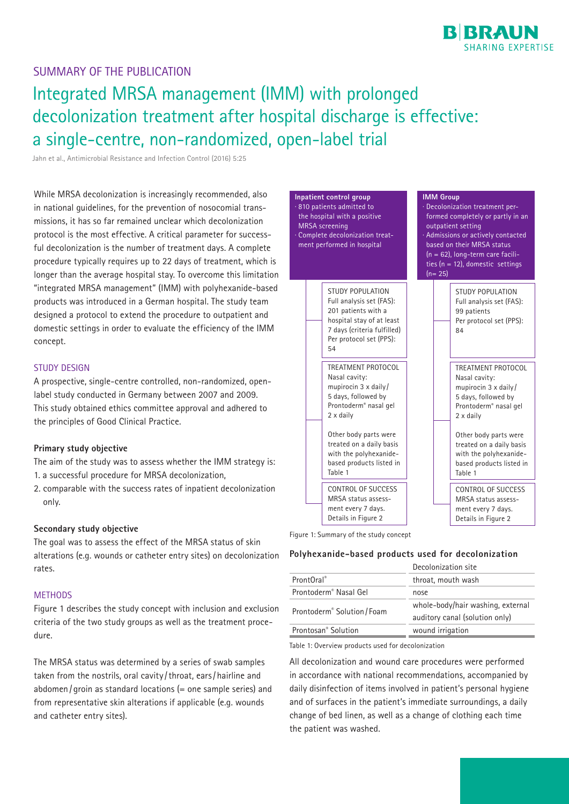## SUMMARY OF THE PUBLICATION

# Integrated MRSA management (IMM) with prolonged decolonization treatment after hospital discharge is effective: a single-centre, non-randomized, open-label trial

Jahn et al., Antimicrobial Resistance and Infection Control (2016) 5:25

While MRSA decolonization is increasingly recommended, also in national guidelines, for the prevention of nosocomial transmissions, it has so far remained unclear which decolonization protocol is the most effective. A critical parameter for successful decolonization is the number of treatment days. A complete procedure typically requires up to 22 days of treatment, which is longer than the average hospital stay. To overcome this limitation "integrated MRSA management" (IMM) with polyhexanide-based products was introduced in a German hospital. The study team designed a protocol to extend the procedure to outpatient and domestic settings in order to evaluate the efficiency of the IMM concept.

#### STUDY DESIGN

A prospective, single-centre controlled, non-randomized, openlabel study conducted in Germany between 2007 and 2009. This study obtained ethics committee approval and adhered to the principles of Good Clinical Practice.

### **Primary study objective**

The aim of the study was to assess whether the IMM strategy is: 1. a successful procedure for MRSA decolonization,

2. comparable with the success rates of inpatient decolonization only.

### **Secondary study objective**

The goal was to assess the effect of the MRSA status of skin alterations (e.g. wounds or catheter entry sites) on decolonization rates.

#### **METHODS**

Figure 1 describes the study concept with inclusion and exclusion criteria of the two study groups as well as the treatment procedure.

The MRSA status was determined by a series of swab samples taken from the nostrils, oral cavity /throat, ears/hairline and abdomen/groin as standard locations  $(=$  one sample series) and from representative skin alterations if applicable (e.g. wounds and catheter entry sites).



Figure 1: Summary of the study concept

#### **Polyhexanide-based products used for decolonization**

|                                         | Decolonization site                                                 |
|-----------------------------------------|---------------------------------------------------------------------|
| ProntOral <sup>®</sup>                  | throat, mouth wash                                                  |
| Prontoderm <sup>®</sup> Nasal Gel       | nose                                                                |
| Prontoderm <sup>®</sup> Solution / Foam | whole-body/hair washing, external<br>auditory canal (solution only) |
| Prontosan <sup>®</sup> Solution         | wound irrigation                                                    |

Table 1: Overview products used for decolonization

All decolonization and wound care procedures were performed in accordance with national recommendations, accompanied by daily disinfection of items involved in patient's personal hygiene and of surfaces in the patient's immediate surroundings, a daily change of bed linen, as well as a change of clothing each time the patient was washed.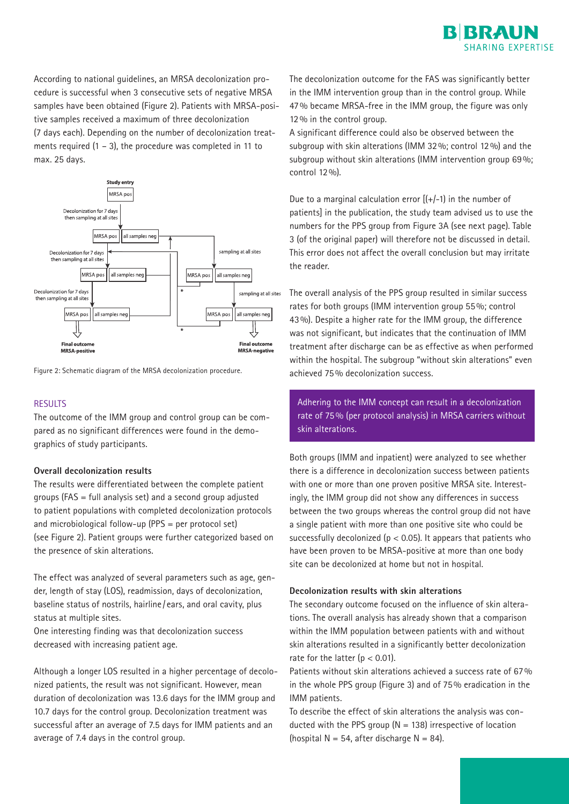

According to national guidelines, an MRSA decolonization procedure is successful when 3 consecutive sets of negative MRSA samples have been obtained (Figure 2). Patients with MRSA-positive samples received a maximum of three decolonization **12%** in the control group. (7 days each). Depending on the number of decolonization treatments required  $(1 - 3)$ , the procedure was completed in 11 to max. 25 days.



Figure 2: Schematic diagram of the MRSA decolonization procedure.

#### **RESULTS**

The outcome of the IMM group and control group can be compared as no significant differences were found in the demographics of study participants. parts as no significant anterestes were round in the active

the IMM group. The treatment regime was the same for both, though the location of the patients differed

#### **Overall decolonization results**

The results were differentiated between the complete patient groups (FAS = full analysis set) and a second group adjusted to patient populations with completed decolonization protocols es patient populations with completed decoromization pro<br>and microbiological follow-up (PPS = per protocol set) (see Figure 2). Patient groups were further categorized based on the presence of skin alterations. and inicrobiological follow-up (i.e.  $\mathcal{P} = \mathcal{P}$ criptolocol scl)

The effect was analyzed of several parameters such as age, gender, length of stay (LOS), readmission, days of decolonization, baseline status of nostrils, hairline/ears, and oral cavity, plus baseline status of nostrils, hairline/ears, and oral cavity, plus status at multiple sites. odselline status of nostriis, namine Determining MRSA status and decolonization procedures

One interesting finding was that decolonization success decreased with increasing patient age.

Although a longer LOS resulted in a higher percentage of decolominized patients, the result was not significant. However, mean hized patients, the result was not significant. However, mean duration of decolonization was 13.6 days for the IMM group and 10.7 days for the control group. Decolonization treatment was To describe the effect of sk successful after an average of 7.5 days for IMM patients and an ducted with the PPS group (N = 138) irrespective of average of 7.4 days in the control group. average of 7.4 days in the control group.  $\Box$  (hospital N = 54, after discharge N = 84).

The decolonization outcome for the FAS was significantly better in the IMM intervention group than in the control group. While 47% became MRSA-free in the IMM group, the figure was only 12% in the control group.

A significant difference could also be observed between the subgroup with skin alterations (IMM 32%; control 12%) and the subgroup without skin alterations (IMM intervention group 69%; control 12%).

Due to a marginal calculation error  $[(+/ - 1)$  in the number of patients] in the publication, the study team advised us to use the numbers for the PPS group from Figure 3A (see next page). Table 3 (of the original paper) will therefore not be discussed in detail. This error does not affect the overall conclusion but may irritate the reader.

The overall analysis of the PPS group resulted in similar success rates for both groups (IMM intervention group 55%; control 43%). Despite a higher rate for the IMM group, the difference was not significant, but indicates that the continuation of IMM treatment after discharge can be as effective as when performed within the hospital. The subgroup "without skin alterations" even Figure 2: Schematic diagram of the MRSA decolonization procedure.  $\qquad \qquad$  achieved 75% decolonization success.

> Adhering to the IMM concept can result in a decolonization rate of 75% (per protocol analysis) in MRSA carriers without procedure covering 22  $+$  3 days, but who at the end produced fewer than 3 subsequent sets of negative MRSA-

control samples obtained. This was scored as unsuccessful Both groups (IMM and inpatient) were analyzed to see whether there is a difference in decolonization success between patients with one or more than one proven positive MRSA site. Interestingly, the IMM group did not show any differences in success between the two groups whereas the control group did not have procedure and the group mercus are control group. a single patient with more than one positive site who could be successfully decolonized (p  $<$  0.05). It appears that patients who have been proven to be MRSA-positive at more than one body site can be decolonized at home but not in hospital.

### Decolonization results with skin alterations

 $s_{\rm sc}$  second taken from the nares, oral cavity/throat, ears/throat, ears/throat, ears/throat, ears/throat, ears/throat, ears/throat, ears/throat, ears/throat, ears/throat, ears/throat, ears/throat, ears/throat, ears/th The secondary outcome focused on the influence of skin alterations. The overall analysis has already shown that a comparison within the IMM population between patients with and without skin alterations resulted in a significantly better decolonization rate for the latter ( $p < 0.01$ ).

olo- Patients without skin alterations achieved a success rate of 67% in the whole PPS group (Figure 3) and of 75% eradication in the whole PPS group (Figure 3) and of 75% eradication in the IMM patients.

To describe the effect of skin alterations the analysis was conducted with the PPS group  $(N = 138)$  irrespective of location